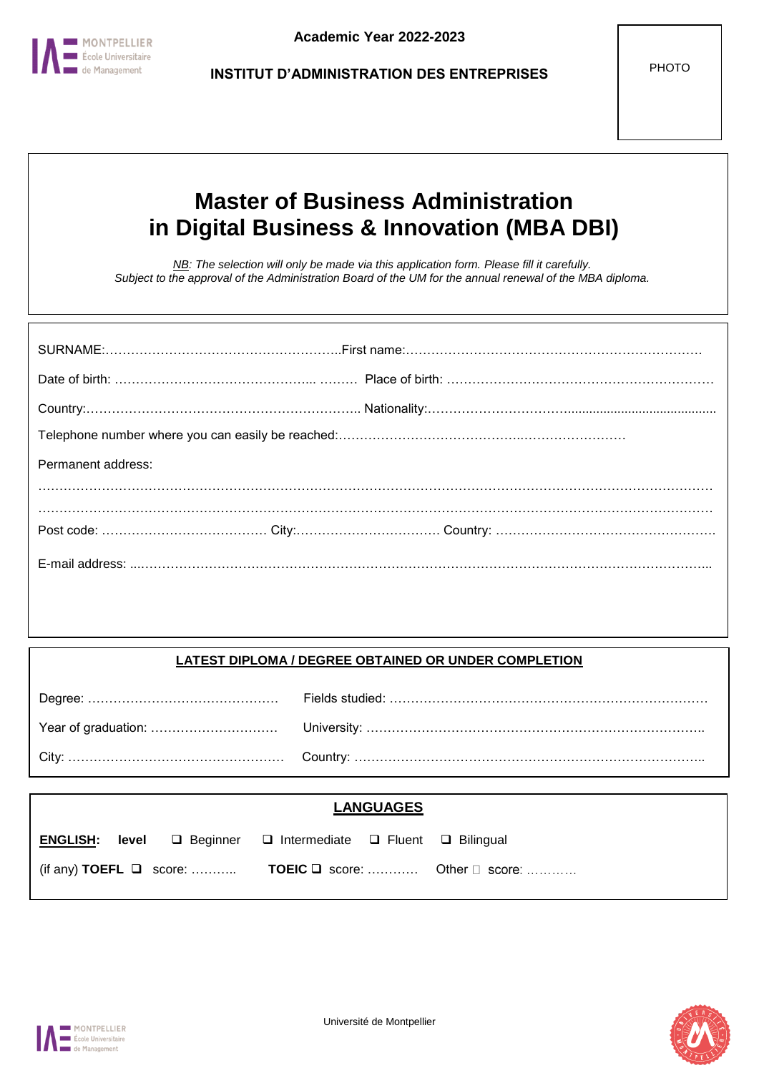

# **Master of Business Administration in Digital Business & Innovation (MBA DBI)**

*NB: The selection will only be made via this application form. Please fill it carefully. Subject to the approval of the Administration Board of the UM for the annual renewal of the MBA diploma.*

| Permanent address: |  |
|--------------------|--|
|                    |  |
|                    |  |
|                    |  |

# **LATEST DIPLOMA / DEGREE OBTAINED OR UNDER COMPLETION**

|  |                                                                                          | <b>LANGUAGES</b> |                                                                                 |
|--|------------------------------------------------------------------------------------------|------------------|---------------------------------------------------------------------------------|
|  | <b>ENGLISH:</b> level $\Box$ Beginner $\Box$ Intermediate $\Box$ Fluent $\Box$ Bilingual |                  |                                                                                 |
|  |                                                                                          |                  | $\left($ (if any) TOEFL $\Box$ score:  TOEIC $\Box$ score:  Other $\Box$ score: |



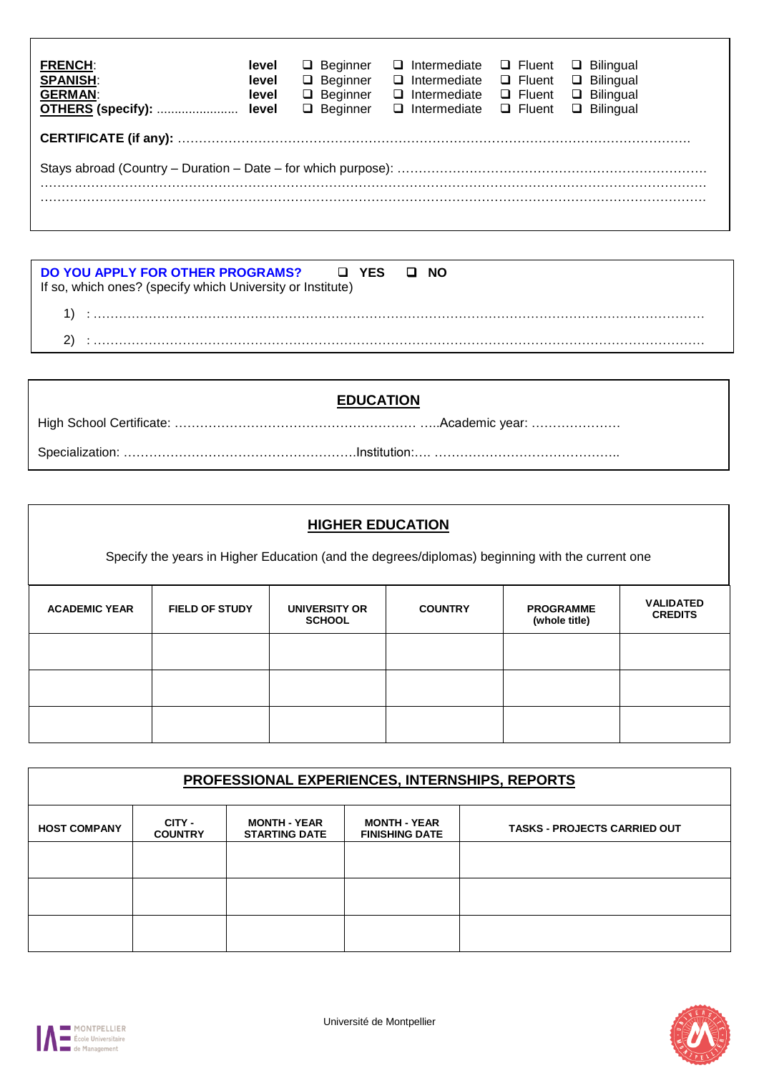| <b>FRENCH:</b><br><b>SPANISH:</b><br><b>GERMAN:</b> | level<br>level<br>level | $\Box$ Beginner<br>$\Box$ Beginner<br>$\Box$ Beginner<br>$\Box$ Beginner | $\Box$ Intermediate<br>$\Box$ Intermediate<br>$\Box$ Intermediate<br>$\square$ Intermediate | $\Box$ Fluent<br>$\Box$ Fluent<br>$\Box$ Fluent<br>$\Box$ Fluent | $\Box$ Bilingual<br>$\Box$ Bilingual<br>$\Box$ Bilingual<br>$\Box$ Bilingual |  |
|-----------------------------------------------------|-------------------------|--------------------------------------------------------------------------|---------------------------------------------------------------------------------------------|------------------------------------------------------------------|------------------------------------------------------------------------------|--|
|                                                     |                         |                                                                          |                                                                                             |                                                                  |                                                                              |  |
|                                                     |                         |                                                                          |                                                                                             |                                                                  |                                                                              |  |
|                                                     |                         |                                                                          |                                                                                             |                                                                  |                                                                              |  |

| DO YOU APPLY FOR OTHER PROGRAMS? □ YES □ NO<br>If so, which ones? (specify which University or Institute) |  |
|-----------------------------------------------------------------------------------------------------------|--|
|                                                                                                           |  |
|                                                                                                           |  |

| <b>EDUCATION</b> |  |
|------------------|--|
|                  |  |
|                  |  |

| <b>HIGHER EDUCATION</b> |                                                                                                 |                                |                |                                   |                                    |  |
|-------------------------|-------------------------------------------------------------------------------------------------|--------------------------------|----------------|-----------------------------------|------------------------------------|--|
|                         | Specify the years in Higher Education (and the degrees/diplomas) beginning with the current one |                                |                |                                   |                                    |  |
| <b>ACADEMIC YEAR</b>    | <b>FIELD OF STUDY</b>                                                                           | UNIVERSITY OR<br><b>SCHOOL</b> | <b>COUNTRY</b> | <b>PROGRAMME</b><br>(whole title) | <b>VALIDATED</b><br><b>CREDITS</b> |  |
|                         |                                                                                                 |                                |                |                                   |                                    |  |
|                         |                                                                                                 |                                |                |                                   |                                    |  |
|                         |                                                                                                 |                                |                |                                   |                                    |  |

| PROFESSIONAL EXPERIENCES, INTERNSHIPS, REPORTS |                          |                                             |                                              |                                     |  |
|------------------------------------------------|--------------------------|---------------------------------------------|----------------------------------------------|-------------------------------------|--|
| <b>HOST COMPANY</b>                            | CITY -<br><b>COUNTRY</b> | <b>MONTH - YEAR</b><br><b>STARTING DATE</b> | <b>MONTH - YEAR</b><br><b>FINISHING DATE</b> | <b>TASKS - PROJECTS CARRIED OUT</b> |  |
|                                                |                          |                                             |                                              |                                     |  |
|                                                |                          |                                             |                                              |                                     |  |
|                                                |                          |                                             |                                              |                                     |  |